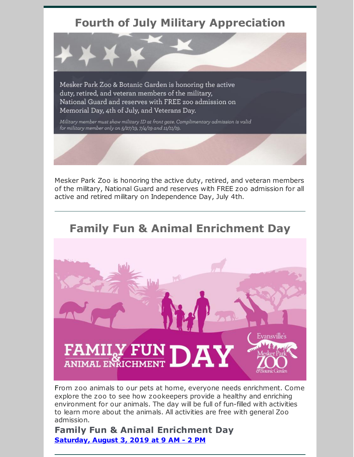## **Fourth of July Military Appreciation**

Mesker Park Zoo & Botanic Garden is honoring the active duty, retired, and veteran members of the military, National Guard and reserves with FREE zoo admission on Memorial Day, 4th of July, and Veterans Day.

Military member must show military ID at front gate. Complimentary admission is valid for military member only on 5/27/19, 7/4/19 and 11/11/19.

Mesker Park Zoo is honoring the active duty, retired, and veteran members of the military, National Guard and reserves with FREE zoo admission for all active and retired military on Independence Day, July 4th.



From zoo animals to our pets at home, everyone needs enrichment. Come explore the zoo to see how zookeepers provide a healthy and enriching environment for our animals. The day will be full of fun-filled with activities to learn more about the animals. All activities are free with general Zoo admission.

**Family Fun & Animal Enrichment Day [Saturday,](https://www.facebook.com/events/405700363375356/) August 3, 2019 at 9 AM - 2 PM**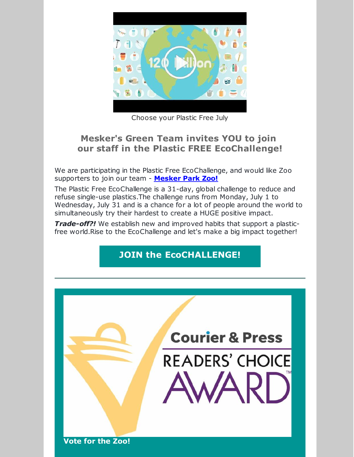

Choose your Plastic Free July

### **Mesker's Green Team invites YOU to join our staff in the Plastic FREE EcoChallenge!**

We are participating in the Plastic Free EcoChallenge, and would like Zoo supporters to join our team - **[Mesker](https://plasticfree.ecochallenge.org/teams/mesker-park-zoo) Park Zoo!**

The Plastic Free EcoChallenge is a 31-day, global challenge to reduce and refuse single-use plastics.The challenge runs from Monday, July 1 to Wednesday, July 31 and is a chance for a lot of people around the world to simultaneously try their hardest to create a HUGE positive impact.

*Trade-off?!* We establish new and improved habits that support a plasticfree world.Rise to the EcoChallenge and let's make a big impact together!

## **JOIN the [EcoCHALLENGE!](https://plasticfree.ecochallenge.org/teams/mesker-park-zoo)**

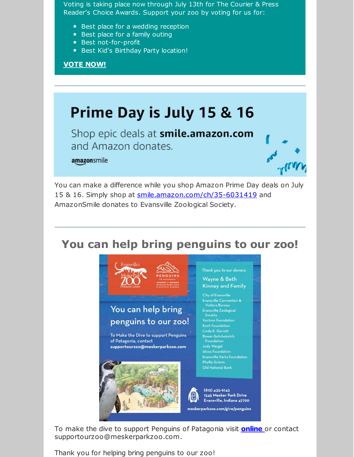Voting is taking place now through July 13th for The Courier & Press Reader's Choice Awards. Support your zoo by voting for us for:

- Best place for a wedding reception
- Best place for a family outing
- Best not-for-profit
- **Best Kid's Birthday Party location!**

### **VOTE [NOW!](https://courierpress.secondstreetapp.com/2019-Evansville-Courier--Press-Readers-Choice-Awards/gallery/?group=322387&fbclid=IwAR1c3pABt6UktCd6MbgyN60gP1jED_Hc2xyMT5yZ8dRUeFQevd2oYAyayBI)**

# **Prime Day is July 15 & 16**

Shop epic deals at smile.amazon.com and Amazon donates.

#### amazonsmile



You can make a difference while you shop Amazon Prime Day deals on July 15 & 16. Simply shop at [smile.amazon.com/ch/35-6031419](https://www.amazon.com/gp/f.html?C=3R042M5YNOXHI&K=3B7YIWAW8HCN0&M=urn:rtn:msg:20190701140331006aefadf7d7479fac45b55f2c20p0na&R=23OO9FMK17H92&T=C&U=http%3A%2F%2Fsmile.amazon.com%2Fch%2F35-6031419&H=7LTA71NO601J8IIWEEXIEFHGY3EA) and AmazonSmile donates to Evansville Zoological Society.

## **You can help bring penguins to our zoo!**



To make the dive to support Penguins of Patagonia visit **[online](https://secure.donorpro.com/mpz-donation)** or contact supportourzoo@meskerparkzoo.com.

Thank you for helping bring penguins to our zoo!